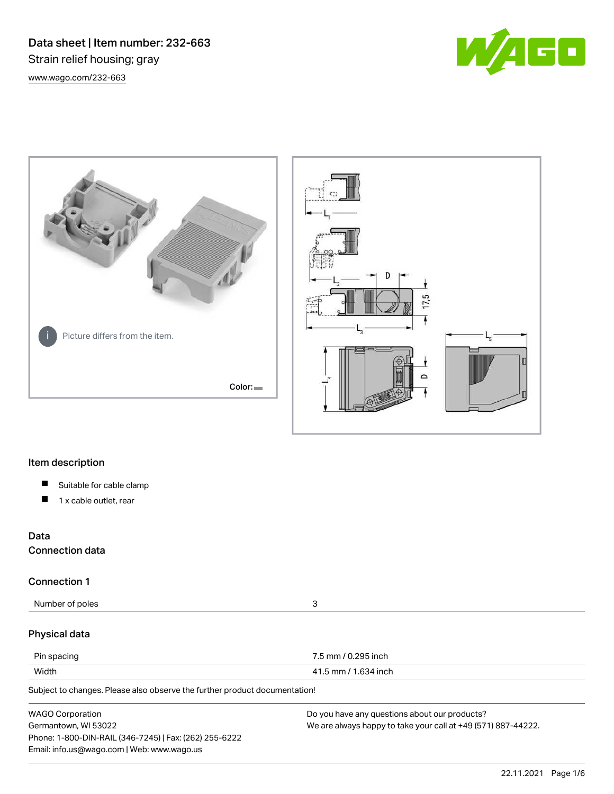Data sheet | Item number: 232-663 Strain relief housing; gray [www.wago.com/232-663](http://www.wago.com/232-663)







# Item description

- $\blacksquare$ Suitable for cable clamp
- $\blacksquare$ 1 x cable outlet, rear

# Data

Connection data

# Connection 1

Number of poles 3

# Physical data

| Pin spacing | 7.5 mm / 0.295 inch  |
|-------------|----------------------|
| Width       | 41.5 mm / 1.634 inch |

Subject to changes. Please also observe the further product documentation!

| <b>WAGO Corporation</b>                                | Do you have any questions about our products?                 |
|--------------------------------------------------------|---------------------------------------------------------------|
| Germantown, WI 53022                                   | We are always happy to take your call at +49 (571) 887-44222. |
| Phone: 1-800-DIN-RAIL (346-7245)   Fax: (262) 255-6222 |                                                               |
| Email: info.us@wago.com   Web: www.wago.us             |                                                               |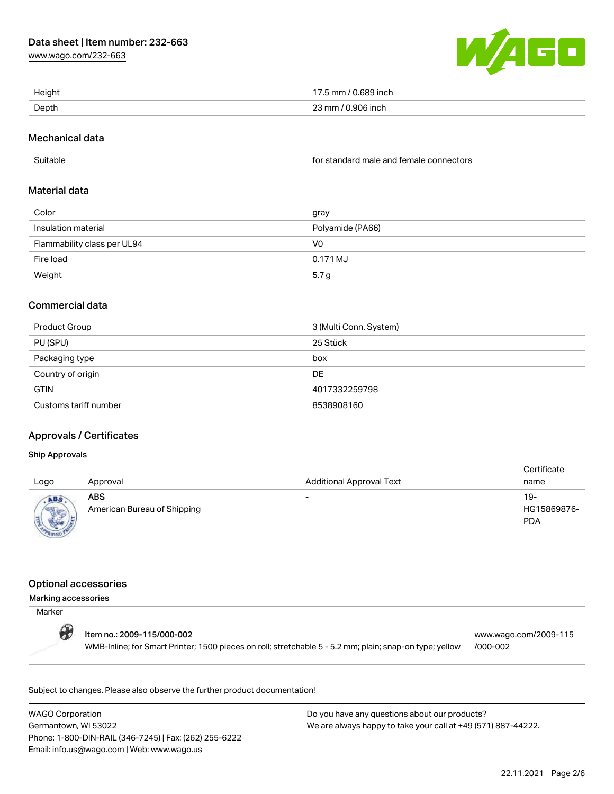[www.wago.com/232-663](http://www.wago.com/232-663)



| Height | ን inch<br>mm   |
|--------|----------------|
| Depth  | n,<br>9∩6 in∩h |

# Mechanical data

Suitable for standard male and female connectors

# Material data

| Color                       | gray             |
|-----------------------------|------------------|
| Insulation material         | Polyamide (PA66) |
| Flammability class per UL94 | V0               |
| Fire load                   | 0.171 MJ         |
| Weight                      | 5.7 <sub>g</sub> |

# Commercial data

| Product Group         | 3 (Multi Conn. System) |
|-----------------------|------------------------|
| PU (SPU)              | 25 Stück               |
| Packaging type        | box                    |
| Country of origin     | DE                     |
| <b>GTIN</b>           | 4017332259798          |
| Customs tariff number | 8538908160             |

# Approvals / Certificates

### Ship Approvals

| Logo | Approval                                  | <b>Additional Approval Text</b> | Certificate<br>name                |
|------|-------------------------------------------|---------------------------------|------------------------------------|
|      | <b>ABS</b><br>American Bureau of Shipping | $\overline{\phantom{0}}$        | $19-$<br>HG15869876-<br><b>PDA</b> |

#### Optional accessories

#### Marking accessories

| Marker |                                                                                                                                       |                                   |
|--------|---------------------------------------------------------------------------------------------------------------------------------------|-----------------------------------|
| O      | Item no.: 2009-115/000-002<br>WMB-Inline; for Smart Printer; 1500 pieces on roll; stretchable 5 - 5.2 mm; plain; snap-on type; yellow | www.wago.com/2009-115<br>/000-002 |

Subject to changes. Please also observe the further product documentation!

WAGO Corporation Germantown, WI 53022 Phone: 1-800-DIN-RAIL (346-7245) | Fax: (262) 255-6222 Email: info.us@wago.com | Web: www.wago.us

Do you have any questions about our products? We are always happy to take your call at +49 (571) 887-44222.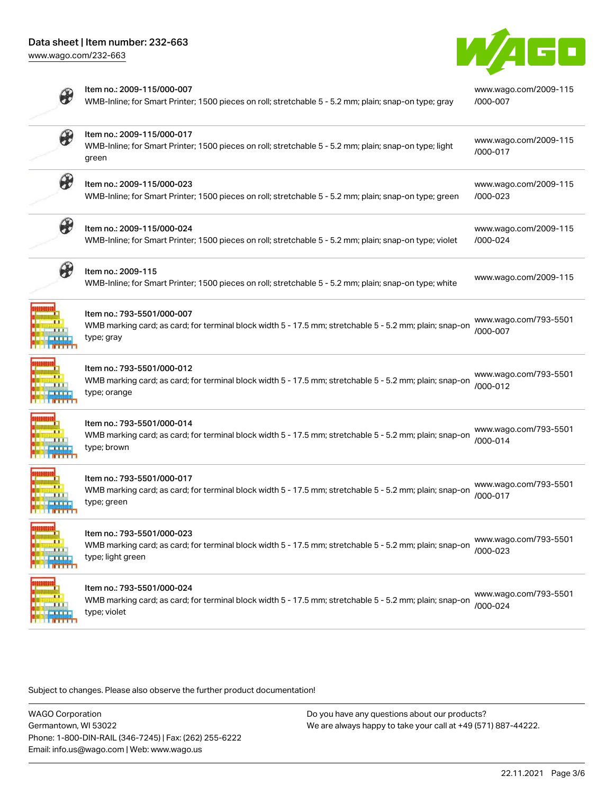

|               | Item no.: 2009-115/000-007<br>WMB-Inline; for Smart Printer; 1500 pieces on roll; stretchable 5 - 5.2 mm; plain; snap-on type; gray                        | www.wago.com/2009-115<br>/000-007 |
|---------------|------------------------------------------------------------------------------------------------------------------------------------------------------------|-----------------------------------|
| $\circledast$ | Item no.: 2009-115/000-017<br>WMB-Inline; for Smart Printer; 1500 pieces on roll; stretchable 5 - 5.2 mm; plain; snap-on type; light<br>green              | www.wago.com/2009-115<br>/000-017 |
| ₩             | Item no.: 2009-115/000-023<br>WMB-Inline; for Smart Printer; 1500 pieces on roll; stretchable 5 - 5.2 mm; plain; snap-on type; green                       | www.wago.com/2009-115<br>/000-023 |
| ₩             | Item no.: 2009-115/000-024<br>WMB-Inline; for Smart Printer; 1500 pieces on roll; stretchable 5 - 5.2 mm; plain; snap-on type; violet                      | www.wago.com/2009-115<br>/000-024 |
|               | Item no.: 2009-115<br>WMB-Inline; for Smart Printer; 1500 pieces on roll; stretchable 5 - 5.2 mm; plain; snap-on type; white                               | www.wago.com/2009-115             |
|               | Item no.: 793-5501/000-007<br>WMB marking card; as card; for terminal block width 5 - 17.5 mm; stretchable 5 - 5.2 mm; plain; snap-on<br>type; gray        | www.wago.com/793-5501<br>/000-007 |
|               | Item no.: 793-5501/000-012<br>WMB marking card; as card; for terminal block width 5 - 17.5 mm; stretchable 5 - 5.2 mm; plain; snap-on<br>type; orange      | www.wago.com/793-5501<br>/000-012 |
|               | Item no.: 793-5501/000-014<br>WMB marking card; as card; for terminal block width 5 - 17.5 mm; stretchable 5 - 5.2 mm; plain; snap-on<br>type; brown       | www.wago.com/793-5501<br>/000-014 |
|               | Item no.: 793-5501/000-017<br>WMB marking card; as card; for terminal block width 5 - 17.5 mm; stretchable 5 - 5.2 mm; plain; snap-on<br>type; green       | www.wago.com/793-5501<br>/000-017 |
|               | Item no.: 793-5501/000-023<br>WMB marking card; as card; for terminal block width 5 - 17.5 mm; stretchable 5 - 5.2 mm; plain; snap-on<br>type; light green | www.wago.com/793-5501<br>/000-023 |
|               | Item no.: 793-5501/000-024<br>WMB marking card; as card; for terminal block width 5 - 17.5 mm; stretchable 5 - 5.2 mm; plain; snap-on<br>type; violet      | www.wago.com/793-5501<br>/000-024 |

Subject to changes. Please also observe the further product documentation!

WAGO Corporation Germantown, WI 53022 Phone: 1-800-DIN-RAIL (346-7245) | Fax: (262) 255-6222 Email: info.us@wago.com | Web: www.wago.us

Do you have any questions about our products? We are always happy to take your call at +49 (571) 887-44222.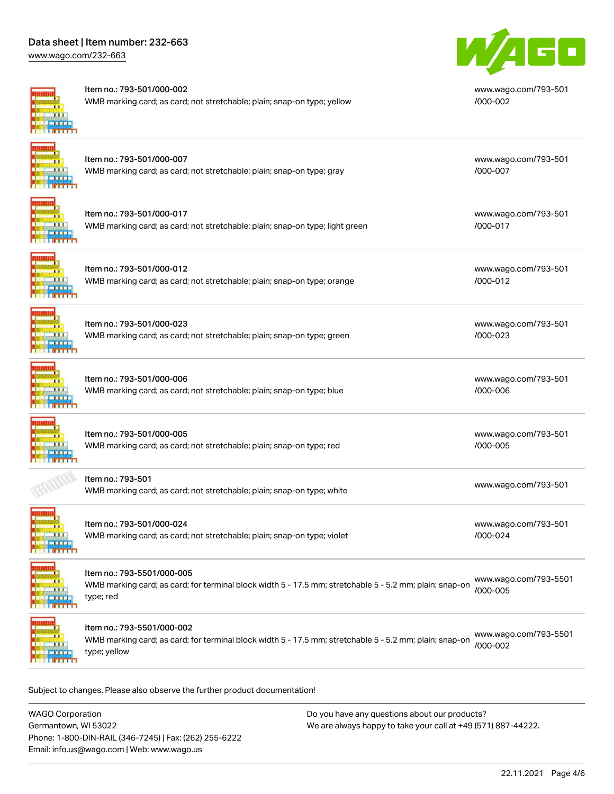# Data sheet | Item number: 232-663

[www.wago.com/232-663](http://www.wago.com/232-663)



#### Item no.: 793-501/000-002

Item no.: 793-501/000-012

WMB marking card; as card; not stretchable; plain; snap-on type; yellow



[www.wago.com/793-501](http://www.wago.com/793-501/000-002) [/000-002](http://www.wago.com/793-501/000-002)

[www.wago.com/793-501](http://www.wago.com/793-501/000-007)

[www.wago.com/793-501](http://www.wago.com/793-501/000-017)

[/000-007](http://www.wago.com/793-501/000-007)

[/000-017](http://www.wago.com/793-501/000-017)

[/000-023](http://www.wago.com/793-501/000-023)

[/000-006](http://www.wago.com/793-501/000-006)

[/000-005](http://www.wago.com/793-501/000-005)

[/000-024](http://www.wago.com/793-501/000-024)

# Item no.: 793-501/000-007 WMB marking card; as card; not stretchable; plain; snap-on type; gray

| Item no.: 793-501/000-017                                                    |
|------------------------------------------------------------------------------|
| WMB marking card; as card; not stretchable; plain; snap-on type; light green |

WMB marking card; as card; not stretchable; plain; snap-on type; orange

[www.wago.com/793-501](http://www.wago.com/793-501/000-012) [/000-012](http://www.wago.com/793-501/000-012)

[www.wago.com/793-501](http://www.wago.com/793-501/000-023)

[www.wago.com/793-501](http://www.wago.com/793-501/000-006)

[www.wago.com/793-501](http://www.wago.com/793-501/000-005)

[www.wago.com/793-501](http://www.wago.com/793-501/000-024)

 $\mathbf{H}$ **TELETING** 

Item no.: 793-501/000-023 WMB marking card; as card; not stretchable; plain; snap-on type; green



Item no.: 793-501/000-006 WMB marking card; as card; not stretchable; plain; snap-on type; blue

Item no.: 793-501/000-005 WMB marking card; as card; not stretchable; plain; snap-on type; red  $\overline{B}$   $\overline{B}$   $\overline{B}$   $\overline{B}$   $\overline{B}$ 

Item no.: 793-501

[www.wago.com/793-501](http://www.wago.com/793-501)<br>WMB marking card; as card; not stretchable; plain; snap-on type; white



Item no.: 793-501/000-024 WMB marking card; as card; not stretchable; plain; snap-on type; violet



# Item no.: 793-5501/000-005

WMB marking card; as card; for terminal block width 5 - 17.5 mm; stretchable 5 - 5.2 mm; plain; snap-on type; red [www.wago.com/793-5501](http://www.wago.com/793-5501/000-005) [/000-005](http://www.wago.com/793-5501/000-005)

**ALL LE INTERN** 

Item no.: 793-5501/000-002

WMB marking card; as card; for terminal block width 5 - 17.5 mm; stretchable 5 - 5.2 mm; plain; snap-on type; yellow [www.wago.com/793-5501](http://www.wago.com/793-5501/000-002) [/000-002](http://www.wago.com/793-5501/000-002)

Subject to changes. Please also observe the further product documentation!

WAGO Corporation Germantown, WI 53022 Phone: 1-800-DIN-RAIL (346-7245) | Fax: (262) 255-6222 Email: info.us@wago.com | Web: www.wago.us Do you have any questions about our products? We are always happy to take your call at +49 (571) 887-44222.

22.11.2021 Page 4/6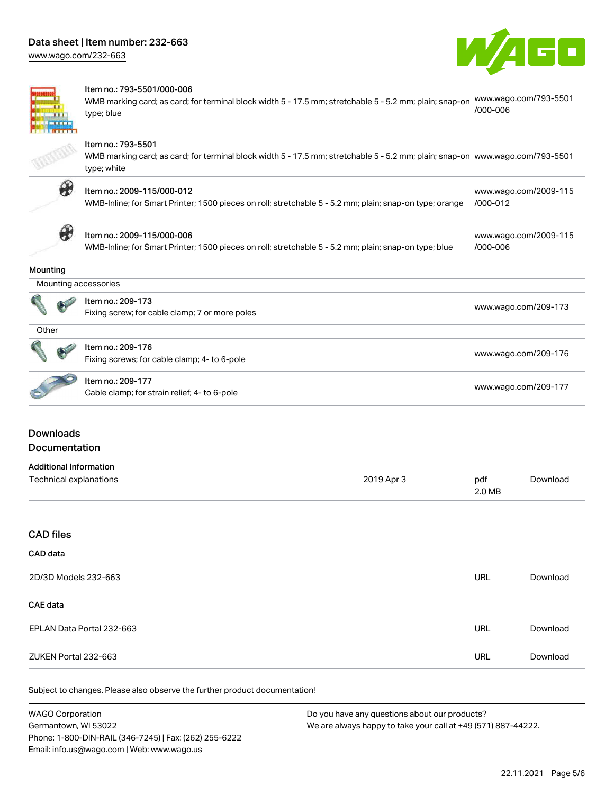[www.wago.com/232-663](http://www.wago.com/232-663)





#### Item no.: 793-5501/000-006

WMB marking card; as card; for terminal block width 5 - 17.5 mm; stretchable 5 - 5.2 mm; plain; snap-on [www.wago.com/793-5501](http://www.wago.com/793-5501/000-006) type; blue [/000-006](http://www.wago.com/793-5501/000-006)

#### Item no.: 793-5501

WMB marking card; as card; for terminal block width 5 - 17.5 mm; stretchable 5 - 5.2 mm; plain; snap-on [www.wago.com/793-5501](http://www.wago.com/793-5501) type; white



#### Item no.: 2009-115/000-012

WMB-Inline; for Smart Printer; 1500 pieces on roll; stretchable 5 - 5.2 mm; plain; snap-on type; orange [/000-012](http://www.wago.com/2009-115/000-012)



# Item no.: 2009-115/000-006

WMB-Inline; for Smart Printer; 1500 pieces on roll; stretchable 5 - 5.2 mm; plain; snap-on type; blue

[www.wago.com/2009-115](http://www.wago.com/2009-115/000-006)

[/000-006](http://www.wago.com/2009-115/000-006)

[www.wago.com/2009-115](http://www.wago.com/2009-115/000-012)

# **Mounting**

 Mounting accessories Item no.: 209-173 Fixing screw; for cable clamp; 7 or more poles [www.wago.com/209-173](http://www.wago.com/209-173)

| ۰.<br>×<br>٠ |  |
|--------------|--|
|              |  |

| <b>SO</b> |  | ltem no.: 209-176                            |                      |
|-----------|--|----------------------------------------------|----------------------|
|           |  | Fixing screws; for cable clamp; 4- to 6-pole | www.wago.com/209-176 |

Item no.: 209-177 nem no... 209-177<br>Cable clamp; for strain relief; 4- to 6-pole [www.wago.com/209-177](http://www.wago.com/209-177)

# Downloads Documentation

#### Additional Information Technical explanations 2019 Apr 3 pdf 2.0 MB [Download](https://www.wago.com/global/d/1435602)

# CAD files

#### CAD data

| 2D/3D Models 232-663      | URL | Download |
|---------------------------|-----|----------|
| CAE data                  |     |          |
| EPLAN Data Portal 232-663 | URL | Download |
| ZUKEN Portal 232-663      | URL | Download |

Subject to changes. Please also observe the further product documentation!

| <b>WAGO Corporation</b>                                | Do you have any questions about our products?                 |
|--------------------------------------------------------|---------------------------------------------------------------|
| Germantown, WI 53022                                   | We are always happy to take your call at +49 (571) 887-44222. |
| Phone: 1-800-DIN-RAIL (346-7245)   Fax: (262) 255-6222 |                                                               |
| Email: info.us@wago.com   Web: www.wago.us             |                                                               |